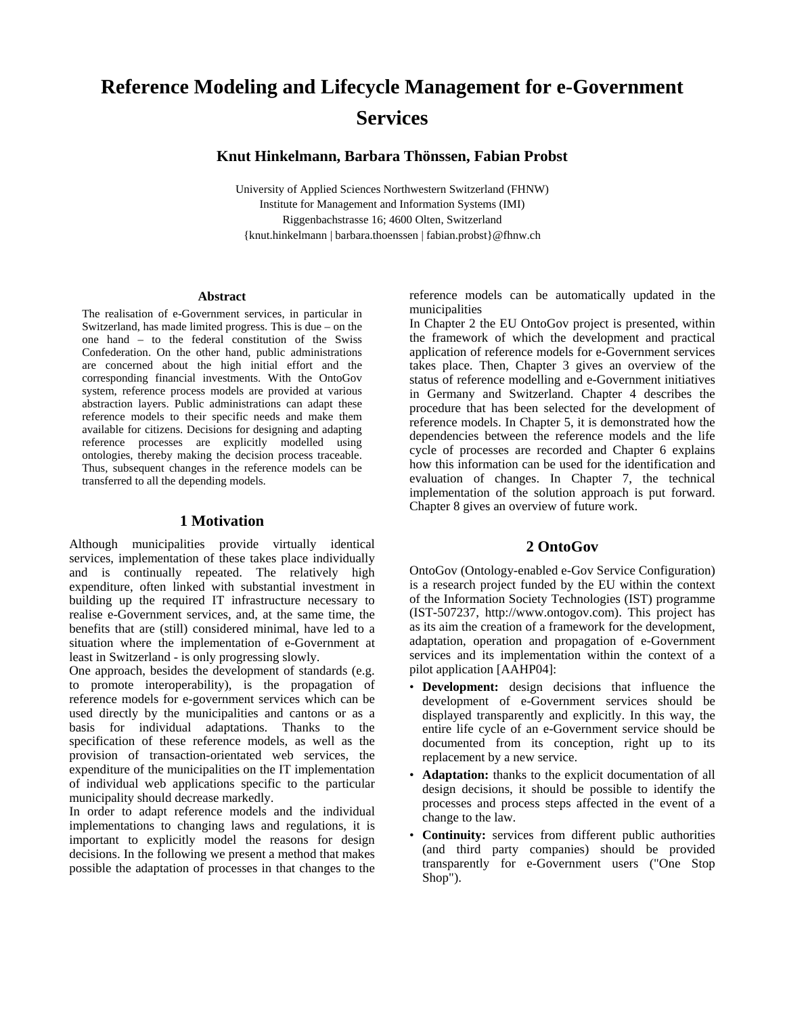# **Reference Modeling and Lifecycle Management for e-Government Services**

**Knut Hinkelmann, Barbara Thönssen, Fabian Probst** 

University of Applied Sciences Northwestern Switzerland (FHNW) Institute for Management and Information Systems (IMI) Riggenbachstrasse 16; 4600 Olten, Switzerland {knut.hinkelmann | barbara.thoenssen | fabian.probst}@fhnw.ch

#### **Abstract**

The realisation of e-Government services, in particular in Switzerland, has made limited progress. This is due – on the one hand – to the federal constitution of the Swiss Confederation. On the other hand, public administrations are concerned about the high initial effort and the corresponding financial investments. With the OntoGov system, reference process models are provided at various abstraction layers. Public administrations can adapt these reference models to their specific needs and make them available for citizens. Decisions for designing and adapting reference processes are explicitly modelled using ontologies, thereby making the decision process traceable. Thus, subsequent changes in the reference models can be transferred to all the depending models.

#### **1 Motivation**

Although municipalities provide virtually identical services, implementation of these takes place individually and is continually repeated. The relatively high expenditure, often linked with substantial investment in building up the required IT infrastructure necessary to realise e-Government services, and, at the same time, the benefits that are (still) considered minimal, have led to a situation where the implementation of e-Government at least in Switzerland - is only progressing slowly.

One approach, besides the development of standards (e.g. to promote interoperability), is the propagation of reference models for e-government services which can be used directly by the municipalities and cantons or as a basis for individual adaptations. Thanks to the specification of these reference models, as well as the provision of transaction-orientated web services, the expenditure of the municipalities on the IT implementation of individual web applications specific to the particular municipality should decrease markedly.

In order to adapt reference models and the individual implementations to changing laws and regulations, it is important to explicitly model the reasons for design decisions. In the following we present a method that makes possible the adaptation of processes in that changes to the reference models can be automatically updated in the municipalities

In Chapter 2 the EU OntoGov project is presented, within the framework of which the development and practical application of reference models for e-Government services takes place. Then, Chapter 3 gives an overview of the status of reference modelling and e-Government initiatives in Germany and Switzerland. Chapter 4 describes the procedure that has been selected for the development of reference models. In Chapter 5, it is demonstrated how the dependencies between the reference models and the life cycle of processes are recorded and Chapter 6 explains how this information can be used for the identification and evaluation of changes. In Chapter 7, the technical implementation of the solution approach is put forward. Chapter 8 gives an overview of future work.

### **2 OntoGov**

OntoGov (Ontology-enabled e-Gov Service Configuration) is a research project funded by the EU within the context of the Information Society Technologies (IST) programme (IST-507237, http://www.ontogov.com). This project has as its aim the creation of a framework for the development, adaptation, operation and propagation of e-Government services and its implementation within the context of a pilot application [AAHP04]:

- **Development:** design decisions that influence the development of e-Government services should be displayed transparently and explicitly. In this way, the entire life cycle of an e-Government service should be documented from its conception, right up to its replacement by a new service.
- **Adaptation:** thanks to the explicit documentation of all design decisions, it should be possible to identify the processes and process steps affected in the event of a change to the law.
- **Continuity:** services from different public authorities (and third party companies) should be provided transparently for e-Government users ("One Stop Shop").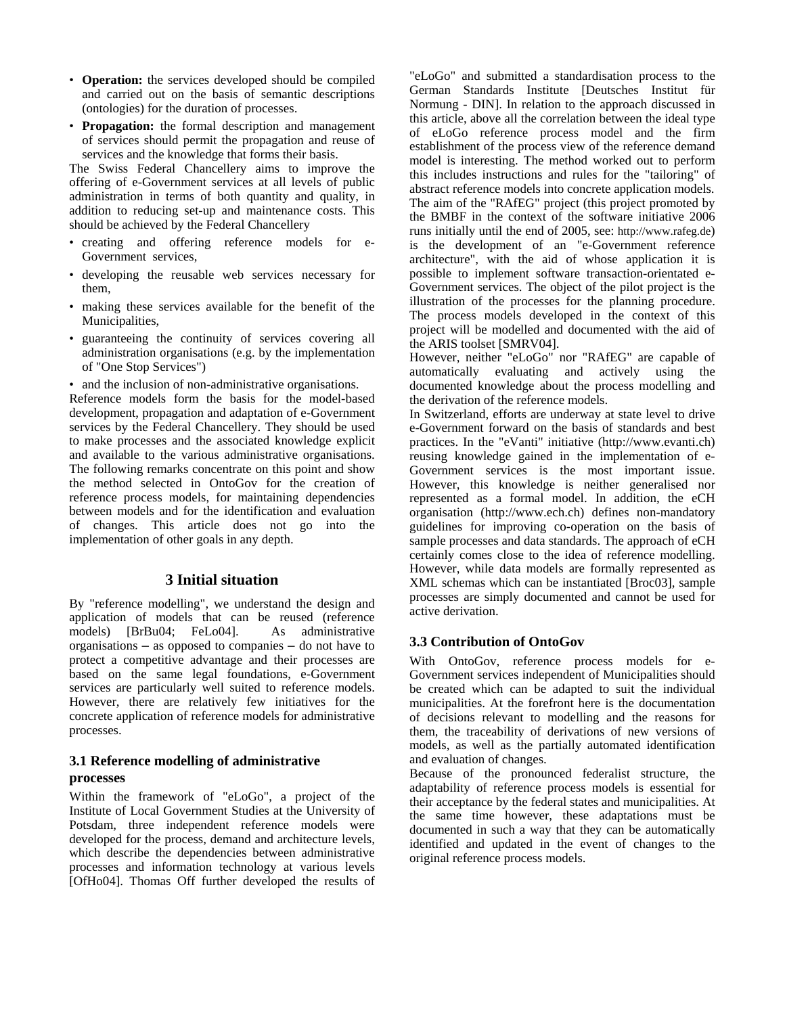- **Operation:** the services developed should be compiled and carried out on the basis of semantic descriptions (ontologies) for the duration of processes.
- **Propagation:** the formal description and management of services should permit the propagation and reuse of services and the knowledge that forms their basis.

The Swiss Federal Chancellery aims to improve the offering of e-Government services at all levels of public administration in terms of both quantity and quality, in addition to reducing set-up and maintenance costs. This should be achieved by the Federal Chancellery

- creating and offering reference models for e-Government services,
- developing the reusable web services necessary for them,
- making these services available for the benefit of the Municipalities,
- guaranteeing the continuity of services covering all administration organisations (e.g. by the implementation of "One Stop Services")

• and the inclusion of non-administrative organisations.

Reference models form the basis for the model-based development, propagation and adaptation of e-Government services by the Federal Chancellery. They should be used to make processes and the associated knowledge explicit and available to the various administrative organisations. The following remarks concentrate on this point and show the method selected in OntoGov for the creation of reference process models, for maintaining dependencies between models and for the identification and evaluation of changes. This article does not go into the implementation of other goals in any depth.

# **3 Initial situation**

By "reference modelling", we understand the design and application of models that can be reused (reference models) [BrBu04; FeLo04]. As administrative organisations – as opposed to companies – do not have to protect a competitive advantage and their processes are based on the same legal foundations, e-Government services are particularly well suited to reference models. However, there are relatively few initiatives for the concrete application of reference models for administrative processes.

# **3.1 Reference modelling of administrative processes**

Within the framework of "eLoGo", a project of the Institute of Local Government Studies at the University of Potsdam, three independent reference models were developed for the process, demand and architecture levels, which describe the dependencies between administrative processes and information technology at various levels [OfHo04]. Thomas Off further developed the results of "eLoGo" and submitted a standardisation process to the German Standards Institute [Deutsches Institut für Normung - DIN]. In relation to the approach discussed in this article, above all the correlation between the ideal type of eLoGo reference process model and the firm establishment of the process view of the reference demand model is interesting. The method worked out to perform this includes instructions and rules for the "tailoring" of abstract reference models into concrete application models. The aim of the "RAfEG" project (this project promoted by the BMBF in the context of the software initiative 2006 runs initially until the end of 2005, see: http://www.rafeg.de) is the development of an "e-Government reference architecture", with the aid of whose application it is possible to implement software transaction-orientated e-Government services. The object of the pilot project is the illustration of the processes for the planning procedure. The process models developed in the context of this project will be modelled and documented with the aid of the ARIS toolset [SMRV04].

However, neither "eLoGo" nor "RAfEG" are capable of automatically evaluating and actively using the documented knowledge about the process modelling and the derivation of the reference models.

In Switzerland, efforts are underway at state level to drive e-Government forward on the basis of standards and best practices. In the "eVanti" initiative (http://www.evanti.ch) reusing knowledge gained in the implementation of e-Government services is the most important issue. However, this knowledge is neither generalised nor represented as a formal model. In addition, the eCH organisation (http://www.ech.ch) defines non-mandatory guidelines for improving co-operation on the basis of sample processes and data standards. The approach of eCH certainly comes close to the idea of reference modelling. However, while data models are formally represented as XML schemas which can be instantiated [Broc03], sample processes are simply documented and cannot be used for active derivation.

# **3.3 Contribution of OntoGov**

With OntoGov, reference process models for e-Government services independent of Municipalities should be created which can be adapted to suit the individual municipalities. At the forefront here is the documentation of decisions relevant to modelling and the reasons for them, the traceability of derivations of new versions of models, as well as the partially automated identification and evaluation of changes.

Because of the pronounced federalist structure, the adaptability of reference process models is essential for their acceptance by the federal states and municipalities. At the same time however, these adaptations must be documented in such a way that they can be automatically identified and updated in the event of changes to the original reference process models.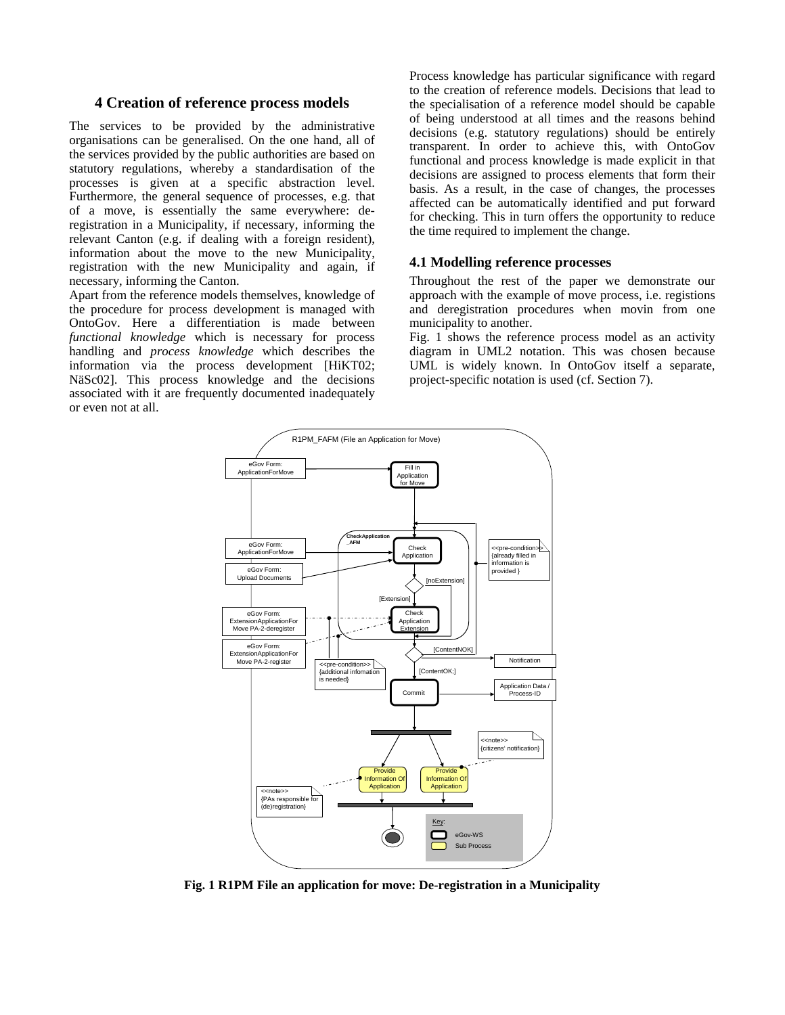#### **4 Creation of reference process models**

The services to be provided by the administrative organisations can be generalised. On the one hand, all of the services provided by the public authorities are based on statutory regulations, whereby a standardisation of the processes is given at a specific abstraction level. Furthermore, the general sequence of processes, e.g. that of a move, is essentially the same everywhere: deregistration in a Municipality, if necessary, informing the relevant Canton (e.g. if dealing with a foreign resident), information about the move to the new Municipality, registration with the new Municipality and again, if necessary, informing the Canton.

Apart from the reference models themselves, knowledge of the procedure for process development is managed with OntoGov. Here a differentiation is made between *functional knowledge* which is necessary for process handling and *process knowledge* which describes the information via the process development [HiKT02; NäSc02]. This process knowledge and the decisions associated with it are frequently documented inadequately or even not at all.

Process knowledge has particular significance with regard to the creation of reference models. Decisions that lead to the specialisation of a reference model should be capable of being understood at all times and the reasons behind decisions (e.g. statutory regulations) should be entirely transparent. In order to achieve this, with OntoGov functional and process knowledge is made explicit in that decisions are assigned to process elements that form their basis. As a result, in the case of changes, the processes affected can be automatically identified and put forward for checking. This in turn offers the opportunity to reduce the time required to implement the change.

#### **4.1 Modelling reference processes**

Throughout the rest of the paper we demonstrate our approach with the example of move process, i.e. registions and deregistration procedures when movin from one municipality to another.

Fig. 1 shows the reference process model as an activity diagram in UML2 notation. This was chosen because UML is widely known. In OntoGov itself a separate, project-specific notation is used (cf. Section 7).



**Fig. 1 R1PM File an application for move: De-registration in a Municipality**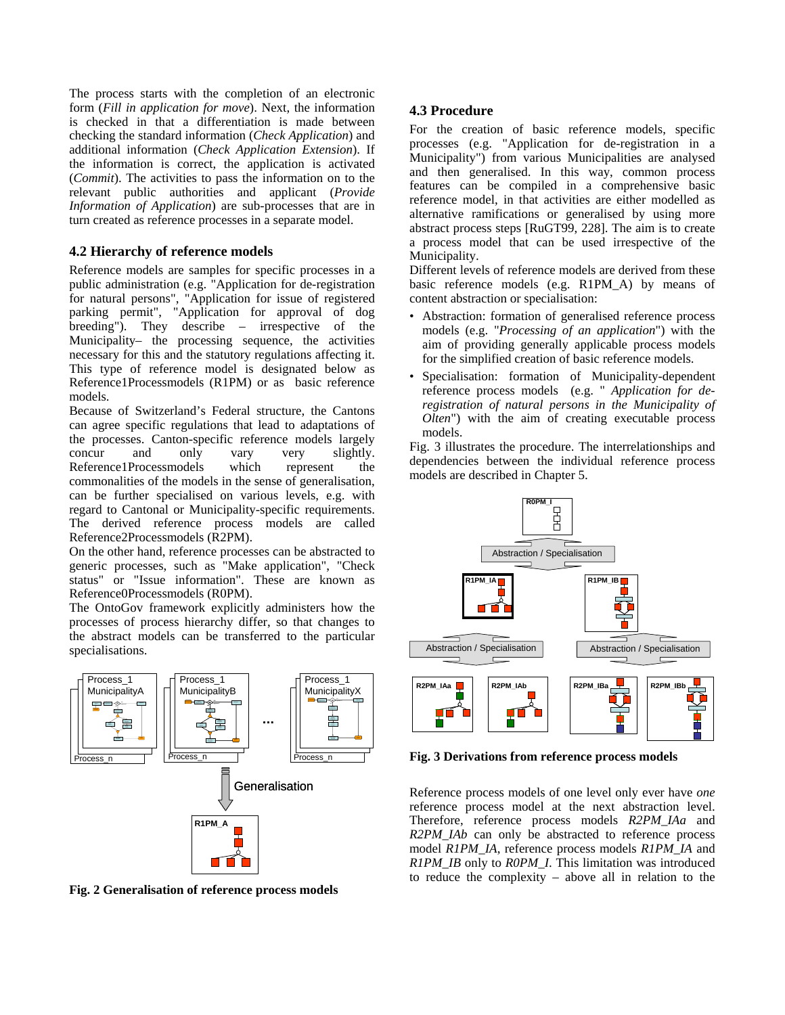The process starts with the completion of an electronic form (*Fill in application for move*). Next, the information is checked in that a differentiation is made between checking the standard information (*Check Application*) and additional information (*Check Application Extension*). If the information is correct, the application is activated (*Commit*). The activities to pass the information on to the relevant public authorities and applicant (*Provide Information of Application*) are sub-processes that are in turn created as reference processes in a separate model.

# **4.2 Hierarchy of reference models**

Reference models are samples for specific processes in a public administration (e.g. "Application for de-registration for natural persons", "Application for issue of registered parking permit", "Application for approval of dog breeding"). They describe – irrespective of the Municipality– the processing sequence, the activities necessary for this and the statutory regulations affecting it. This type of reference model is designated below as Reference1Processmodels (R1PM) or as basic reference models.

Because of Switzerland's Federal structure, the Cantons can agree specific regulations that lead to adaptations of the processes. Canton-specific reference models largely concur and only vary very slightly. Reference1Processmodels which represent the commonalities of the models in the sense of generalisation, can be further specialised on various levels, e.g. with regard to Cantonal or Municipality-specific requirements. The derived reference process models are called Reference2Processmodels (R2PM).

On the other hand, reference processes can be abstracted to generic processes, such as "Make application", "Check status" or "Issue information". These are known as Reference0Processmodels (R0PM).

The OntoGov framework explicitly administers how the processes of process hierarchy differ, so that changes to the abstract models can be transferred to the particular specialisations.



**Fig. 2 Generalisation of reference process models**

# **4.3 Procedure**

For the creation of basic reference models, specific processes (e.g. "Application for de-registration in a Municipality") from various Municipalities are analysed and then generalised. In this way, common process features can be compiled in a comprehensive basic reference model, in that activities are either modelled as alternative ramifications or generalised by using more abstract process steps [RuGT99, 228]. The aim is to create a process model that can be used irrespective of the Municipality.

Different levels of reference models are derived from these basic reference models (e.g. R1PM\_A) by means of content abstraction or specialisation:

- Abstraction: formation of generalised reference process models (e.g. "*Processing of an application*") with the aim of providing generally applicable process models for the simplified creation of basic reference models.
- Specialisation: formation of Municipality-dependent reference process models (e.g. " *Application for deregistration of natural persons in the Municipality of Olten*") with the aim of creating executable process models.

Fig. 3 illustrates the procedure. The interrelationships and dependencies between the individual reference process models are described in Chapter 5.



**Fig. 3 Derivations from reference process models** 

Reference process models of one level only ever have *one* reference process model at the next abstraction level. Therefore, reference process models *R2PM\_IAa* and *R2PM\_IAb* can only be abstracted to reference process model *R1PM\_IA*, reference process models *R1PM\_IA* and *R1PM\_IB* only to *R0PM\_I*. This limitation was introduced to reduce the complexity – above all in relation to the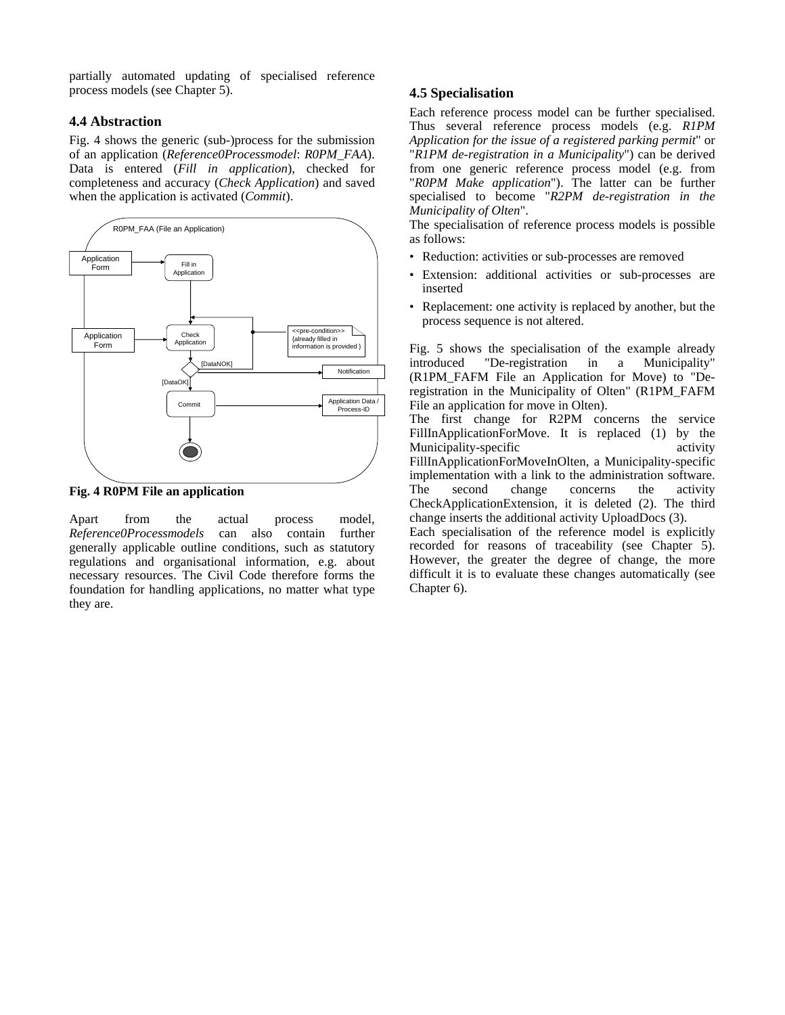partially automated updating of specialised reference process models (see Chapter 5).

#### **4.4 Abstraction**

Fig. 4 shows the generic (sub-)process for the submission of an application (*Reference0Processmodel*: *R0PM\_FAA*). Data is entered (*Fill in application*), checked for completeness and accuracy (*Check Application*) and saved when the application is activated (*Commit*).



**Fig. 4 R0PM File an application** 

Apart from the actual process model, *Reference0Processmodels* can also contain further generally applicable outline conditions, such as statutory regulations and organisational information, e.g. about necessary resources. The Civil Code therefore forms the foundation for handling applications, no matter what type they are.

# **4.5 Specialisation**

Each reference process model can be further specialised. Thus several reference process models (e.g. *R1PM Application for the issue of a registered parking permit*" or "*R1PM de-registration in a Municipality*") can be derived from one generic reference process model (e.g. from "*R0PM Make application*"). The latter can be further specialised to become "*R2PM de-registration in the Municipality of Olten*".

The specialisation of reference process models is possible as follows:

- Reduction: activities or sub-processes are removed
- Extension: additional activities or sub-processes are inserted
- Replacement: one activity is replaced by another, but the process sequence is not altered.

Fig. 5 shows the specialisation of the example already introduced "De-registration in a Municipality" (R1PM\_FAFM File an Application for Move) to "Deregistration in the Municipality of Olten" (R1PM\_FAFM File an application for move in Olten).

The first change for R2PM concerns the service FillInApplicationForMove. It is replaced (1) by the Municipality-specific activity FillInApplicationForMoveInOlten, a Municipality-specific implementation with a link to the administration software. The second change concerns the activity CheckApplicationExtension, it is deleted (2). The third change inserts the additional activity UploadDocs (3).

Each specialisation of the reference model is explicitly recorded for reasons of traceability (see Chapter 5). However, the greater the degree of change, the more difficult it is to evaluate these changes automatically (see Chapter 6).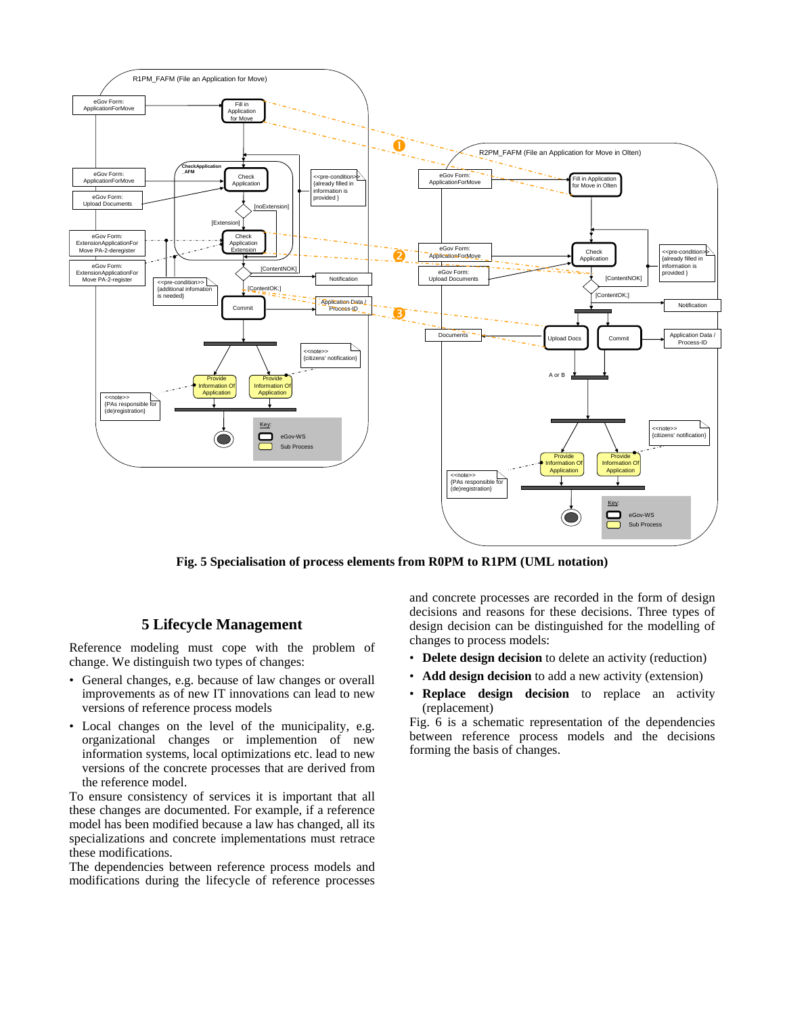

**Fig. 5 Specialisation of process elements from R0PM to R1PM (UML notation)** 

### **5 Lifecycle Management**

Reference modeling must cope with the problem of change. We distinguish two types of changes:

- General changes, e.g. because of law changes or overall improvements as of new IT innovations can lead to new versions of reference process models
- Local changes on the level of the municipality, e.g. organizational changes or implemention of new information systems, local optimizations etc. lead to new versions of the concrete processes that are derived from the reference model.

To ensure consistency of services it is important that all these changes are documented. For example, if a reference model has been modified because a law has changed, all its specializations and concrete implementations must retrace these modifications.

The dependencies between reference process models and modifications during the lifecycle of reference processes and concrete processes are recorded in the form of design decisions and reasons for these decisions. Three types of design decision can be distinguished for the modelling of changes to process models:

- **Delete design decision** to delete an activity (reduction)
- **Add design decision** to add a new activity (extension)
- **Replace design decision** to replace an activity (replacement)

Fig. 6 is a schematic representation of the dependencies between reference process models and the decisions forming the basis of changes.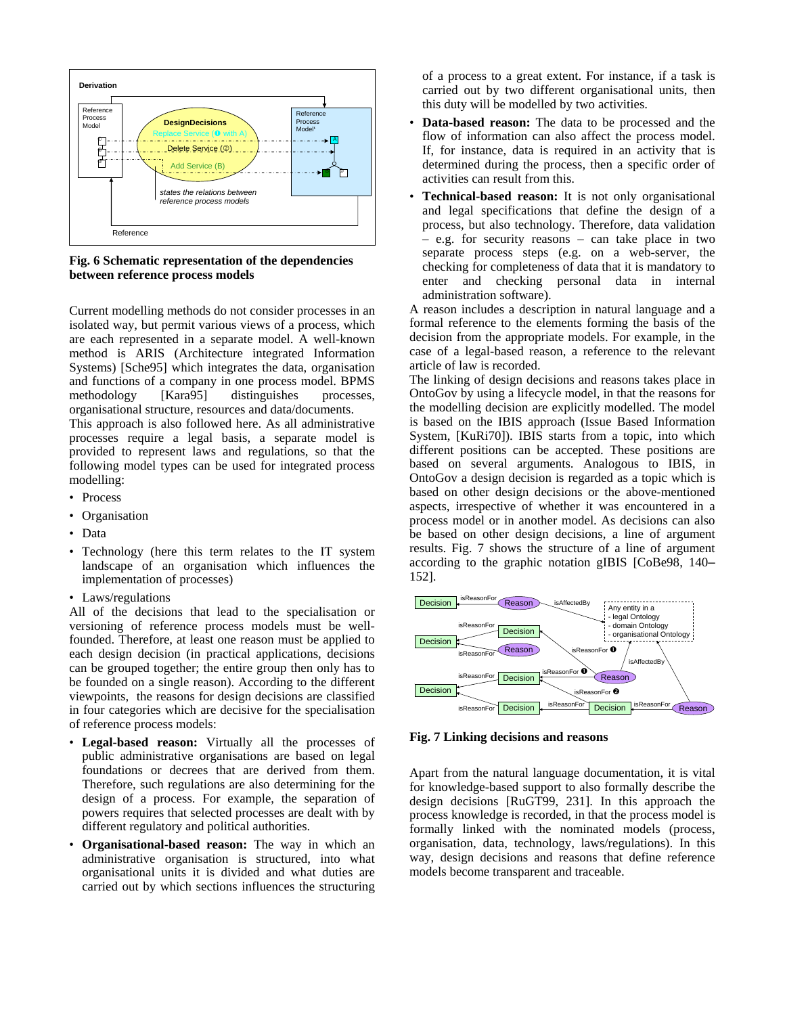

**Fig. 6 Schematic representation of the dependencies between reference process models** 

Current modelling methods do not consider processes in an isolated way, but permit various views of a process, which are each represented in a separate model. A well-known method is ARIS (Architecture integrated Information Systems) [Sche95] which integrates the data, organisation and functions of a company in one process model. BPMS methodology [Kara95] distinguishes processes, organisational structure, resources and data/documents.

This approach is also followed here. As all administrative processes require a legal basis, a separate model is provided to represent laws and regulations, so that the following model types can be used for integrated process modelling:

- Process
- Organisation
- Data
- Technology (here this term relates to the IT system landscape of an organisation which influences the implementation of processes)
- Laws/regulations

All of the decisions that lead to the specialisation or versioning of reference process models must be wellfounded. Therefore, at least one reason must be applied to each design decision (in practical applications, decisions can be grouped together; the entire group then only has to be founded on a single reason). According to the different viewpoints, the reasons for design decisions are classified in four categories which are decisive for the specialisation of reference process models:

- **Legal-based reason:** Virtually all the processes of public administrative organisations are based on legal foundations or decrees that are derived from them. Therefore, such regulations are also determining for the design of a process. For example, the separation of powers requires that selected processes are dealt with by different regulatory and political authorities.
- **Organisational-based reason:** The way in which an administrative organisation is structured, into what organisational units it is divided and what duties are carried out by which sections influences the structuring

of a process to a great extent. For instance, if a task is carried out by two different organisational units, then this duty will be modelled by two activities.

- **Data-based reason:** The data to be processed and the flow of information can also affect the process model. If, for instance, data is required in an activity that is determined during the process, then a specific order of activities can result from this.
- **Technical-based reason:** It is not only organisational and legal specifications that define the design of a process, but also technology. Therefore, data validation – e.g. for security reasons – can take place in two separate process steps (e.g. on a web-server, the checking for completeness of data that it is mandatory to enter and checking personal data in internal administration software).

A reason includes a description in natural language and a formal reference to the elements forming the basis of the decision from the appropriate models. For example, in the case of a legal-based reason, a reference to the relevant article of law is recorded.

The linking of design decisions and reasons takes place in OntoGov by using a lifecycle model, in that the reasons for the modelling decision are explicitly modelled. The model is based on the IBIS approach (Issue Based Information System, [KuRi70]). IBIS starts from a topic, into which different positions can be accepted. These positions are based on several arguments. Analogous to IBIS, in OntoGov a design decision is regarded as a topic which is based on other design decisions or the above-mentioned aspects, irrespective of whether it was encountered in a process model or in another model. As decisions can also be based on other design decisions, a line of argument results. Fig. 7 shows the structure of a line of argument according to the graphic notation gIBIS [CoBe98, 140– 152].

![](_page_6_Figure_17.jpeg)

**Fig. 7 Linking decisions and reasons** 

Apart from the natural language documentation, it is vital for knowledge-based support to also formally describe the design decisions [RuGT99, 231]. In this approach the process knowledge is recorded, in that the process model is formally linked with the nominated models (process, organisation, data, technology, laws/regulations). In this way, design decisions and reasons that define reference models become transparent and traceable.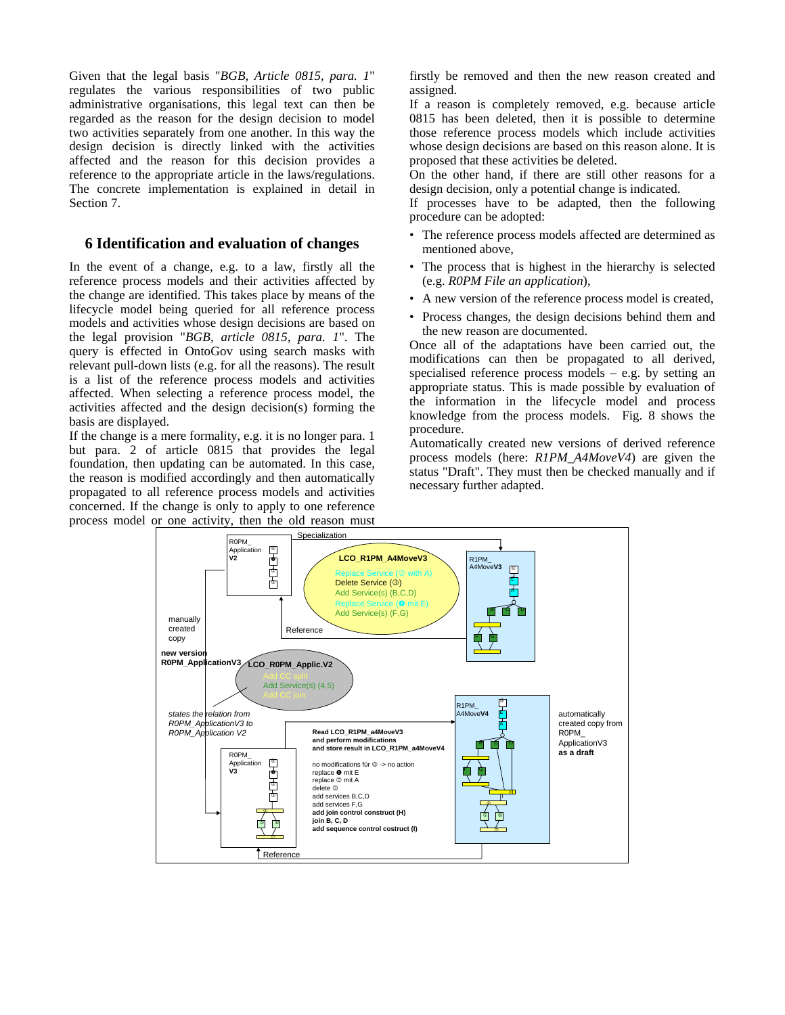Given that the legal basis "*BGB, Article 0815, para. 1*" regulates the various responsibilities of two public administrative organisations, this legal text can then be regarded as the reason for the design decision to model two activities separately from one another. In this way the design decision is directly linked with the activities affected and the reason for this decision provides a reference to the appropriate article in the laws/regulations. The concrete implementation is explained in detail in Section 7.

# **6 Identification and evaluation of changes**

In the event of a change, e.g. to a law, firstly all the reference process models and their activities affected by the change are identified. This takes place by means of the lifecycle model being queried for all reference process models and activities whose design decisions are based on the legal provision "*BGB, article 0815, para. 1*". The query is effected in OntoGov using search masks with relevant pull-down lists (e.g. for all the reasons). The result is a list of the reference process models and activities affected. When selecting a reference process model, the activities affected and the design decision(s) forming the basis are displayed.

If the change is a mere formality, e.g. it is no longer para. 1 but para. 2 of article 0815 that provides the legal foundation, then updating can be automated. In this case, the reason is modified accordingly and then automatically propagated to all reference process models and activities concerned. If the change is only to apply to one reference process model or one activity, then the old reason must

firstly be removed and then the new reason created and assigned.

If a reason is completely removed, e.g. because article 0815 has been deleted, then it is possible to determine those reference process models which include activities whose design decisions are based on this reason alone. It is proposed that these activities be deleted.

On the other hand, if there are still other reasons for a design decision, only a potential change is indicated.

If processes have to be adapted, then the following procedure can be adopted:

- The reference process models affected are determined as mentioned above,
- The process that is highest in the hierarchy is selected (e.g. *R0PM File an application*),
- A new version of the reference process model is created,
- Process changes, the design decisions behind them and the new reason are documented.

Once all of the adaptations have been carried out, the modifications can then be propagated to all derived, specialised reference process models – e.g. by setting an appropriate status. This is made possible by evaluation of the information in the lifecycle model and process knowledge from the process models. Fig. 8 shows the procedure.

Automatically created new versions of derived reference process models (here: *R1PM\_A4MoveV4*) are given the status "Draft". They must then be checked manually and if necessary further adapted.

![](_page_7_Figure_14.jpeg)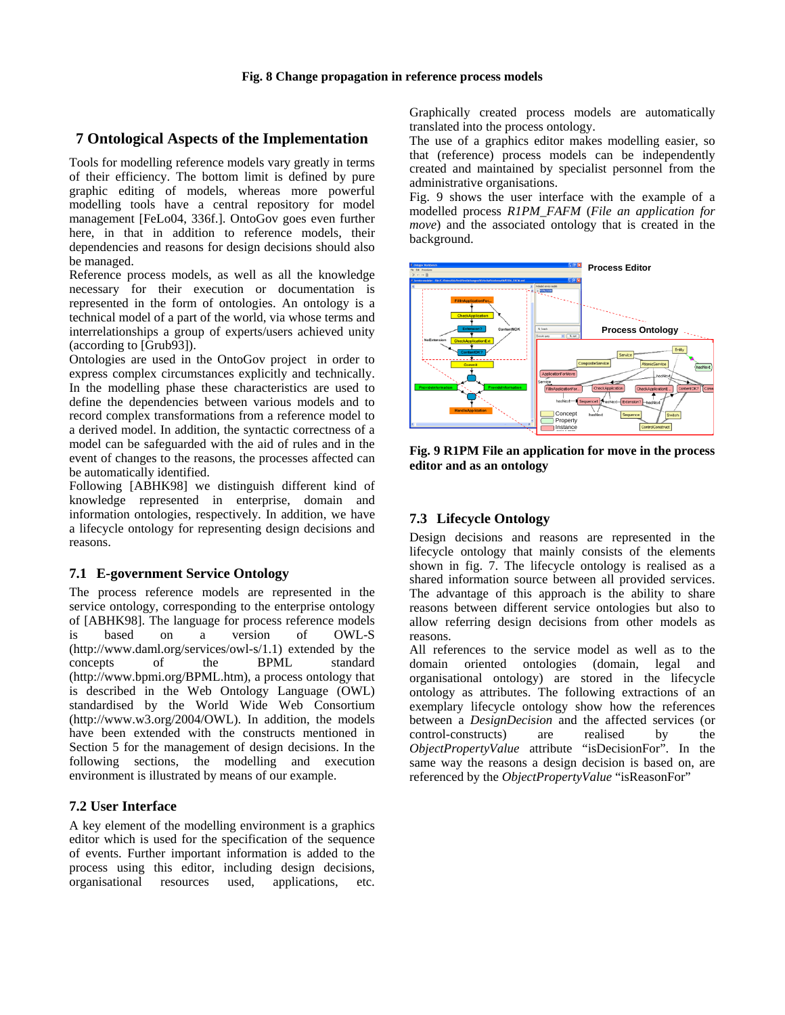# **7 Ontological Aspects of the Implementation**

Tools for modelling reference models vary greatly in terms of their efficiency. The bottom limit is defined by pure graphic editing of models, whereas more powerful modelling tools have a central repository for model management [FeLo04, 336f.]. OntoGov goes even further here, in that in addition to reference models, their dependencies and reasons for design decisions should also be managed.

Reference process models, as well as all the knowledge necessary for their execution or documentation is represented in the form of ontologies. An ontology is a technical model of a part of the world, via whose terms and interrelationships a group of experts/users achieved unity (according to [Grub93]).

Ontologies are used in the OntoGov project in order to express complex circumstances explicitly and technically. In the modelling phase these characteristics are used to define the dependencies between various models and to record complex transformations from a reference model to a derived model. In addition, the syntactic correctness of a model can be safeguarded with the aid of rules and in the event of changes to the reasons, the processes affected can be automatically identified.

Following [ABHK98] we distinguish different kind of knowledge represented in enterprise, domain and information ontologies, respectively. In addition, we have a lifecycle ontology for representing design decisions and reasons.

### **7.1 E-government Service Ontology**

The process reference models are represented in the service ontology, corresponding to the enterprise ontology of [ABHK98]. The language for process reference models is based on a version of OWL-S (http://www.daml.org/services/owl-s/1.1) extended by the concepts of the BPML standard (http://www.bpmi.org/BPML.htm), a process ontology that is described in the Web Ontology Language (OWL) standardised by the World Wide Web Consortium (http://www.w3.org/2004/OWL). In addition, the models have been extended with the constructs mentioned in Section 5 for the management of design decisions. In the following sections, the modelling and execution environment is illustrated by means of our example.

### **7.2 User Interface**

A key element of the modelling environment is a graphics editor which is used for the specification of the sequence of events. Further important information is added to the process using this editor, including design decisions, organisational resources used, applications, etc.

Graphically created process models are automatically translated into the process ontology.

The use of a graphics editor makes modelling easier, so that (reference) process models can be independently created and maintained by specialist personnel from the administrative organisations.

Fig. 9 shows the user interface with the example of a modelled process *R1PM\_FAFM* (*File an application for move*) and the associated ontology that is created in the background.

![](_page_8_Figure_13.jpeg)

**Fig. 9 R1PM File an application for move in the process editor and as an ontology**

# **7.3 Lifecycle Ontology**

Design decisions and reasons are represented in the lifecycle ontology that mainly consists of the elements shown in fig. 7. The lifecycle ontology is realised as a shared information source between all provided services. The advantage of this approach is the ability to share reasons between different service ontologies but also to allow referring design decisions from other models as reasons.

All references to the service model as well as to the domain oriented ontologies (domain, legal and organisational ontology) are stored in the lifecycle ontology as attributes. The following extractions of an exemplary lifecycle ontology show how the references between a *DesignDecision* and the affected services (or control-constructs) are realised by the *ObjectPropertyValue* attribute "isDecisionFor". In the same way the reasons a design decision is based on, are referenced by the *ObjectPropertyValue* "isReasonFor"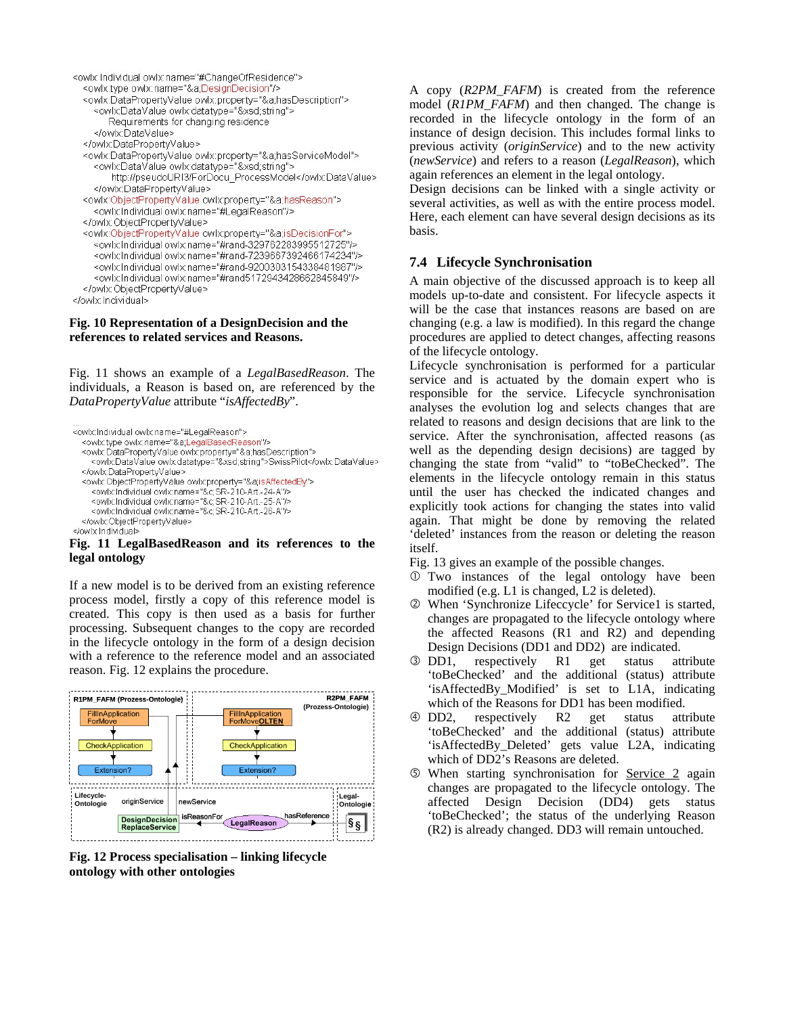```
<owlx:Individual owlx:name="#ChangeOfResidence">
  <owlx:type owlx:name="&a;DesignDecision"/>
  <owlx:DataPropertyValue owlx:property="&a;hasDescription">
    <owlxDataValue owlxdatatype="&xsd;string">
       Requirements for changing residence
    </owlx:DataValue>
  </owlx:DataPropertyValue>
  <owlx:DataPropertyValue owlx:property="&a;hasServiceModel">
    <owlx:DataValue owlx:datatype="&xsd;string">
        http://pseudoURI3/ForDocu_ProcessModel</owlx:DataValue>
    </owlx:DataPropertyValue>
  <owlx:ObjectPropertyValue owlx:property="&a;hasReason">
    <owlx Individual owlx name="#LegalReason"/>
  </owlx:ObjectPropertyValue>
  <owlx:ObjectPropertyValue owlx.property="&a;isDecisionFor">
    <owlx Individual owlx name="#rand-329762283995512725"/>
    <owlxIndividualowlx.name="#rand-7239667392466174234"/>
    <owlx Individual owlx name="#rand-9200303154338481987"/>
    <owlx Individual owlx name="#rand5172943428662845849"/>
  </owlx:ObjectPropertyValue>
```
</owlx Individual>

#### **Fig. 10 Representation of a DesignDecision and the references to related services and Reasons.**

Fig. 11 shows an example of a *LegalBasedReason*. The individuals, a Reason is based on, are referenced by the *DataPropertyValue* attribute "*isAffectedBy*".

```
<owlx:Individual owlx:name="#LegalReason">
  <owlx:type owlx:name="&a;LegalBasedReason"/>
  <owlx:DataPropertyValue owlx:property="&a;hasDescription">
    <owlx:DataValue owlx:datatype="&xsd;string">SwissPilot</owlx:DataValue>
  </owlxDataPropertyValue>
  <owlx:ObjectPropertyValue owlx:property="&a;isAffectedBy">
    <owlx: Individual owlx: name="&c; SR-210-Art.-24-A"/>
    <owlx:Individual owlx:name="&c;SR-210-Art.-25-A"/>
    <owlx Individual owlx name="&c;SR-210-Art.-26-A"/>
  </owlx:ObjectPropertyValue>
</owlx/Individual>
```
#### **Fig. 11 LegalBasedReason and its references to the legal ontology**

If a new model is to be derived from an existing reference process model, firstly a copy of this reference model is created. This copy is then used as a basis for further processing. Subsequent changes to the copy are recorded in the lifecycle ontology in the form of a design decision with a reference to the reference model and an associated reason. Fig. 12 explains the procedure.

![](_page_9_Figure_7.jpeg)

**Fig. 12 Process specialisation – linking lifecycle ontology with other ontologies** 

A copy (*R2PM\_FAFM*) is created from the reference model (*R1PM\_FAFM*) and then changed. The change is recorded in the lifecycle ontology in the form of an instance of design decision. This includes formal links to previous activity (*originService*) and to the new activity (*newService*) and refers to a reason (*LegalReason*), which again references an element in the legal ontology.

Design decisions can be linked with a single activity or several activities, as well as with the entire process model. Here, each element can have several design decisions as its basis.

# **7.4 Lifecycle Synchronisation**

A main objective of the discussed approach is to keep all models up-to-date and consistent. For lifecycle aspects it will be the case that instances reasons are based on are changing (e.g. a law is modified). In this regard the change procedures are applied to detect changes, affecting reasons of the lifecycle ontology.

Lifecycle synchronisation is performed for a particular service and is actuated by the domain expert who is responsible for the service. Lifecycle synchronisation analyses the evolution log and selects changes that are related to reasons and design decisions that are link to the service. After the synchronisation, affected reasons (as well as the depending design decisions) are tagged by changing the state from "valid" to "toBeChecked". The elements in the lifecycle ontology remain in this status until the user has checked the indicated changes and explicitly took actions for changing the states into valid again. That might be done by removing the related 'deleted' instances from the reason or deleting the reason itself.

Fig. 13 gives an example of the possible changes.

- c Two instances of the legal ontology have been modified (e.g. L1 is changed, L2 is deleted).
- d When 'Synchronize Lifeccycle' for Service1 is started, changes are propagated to the lifecycle ontology where the affected Reasons (R1 and R2) and depending Design Decisions (DD1 and DD2) are indicated.
- e DD1, respectively R1 get status attribute 'toBeChecked' and the additional (status) attribute 'isAffectedBy\_Modified' is set to L1A, indicating which of the Reasons for DD1 has been modified.
- f DD2, respectively R2 get status attribute 'toBeChecked' and the additional (status) attribute 'isAffectedBy\_Deleted' gets value L2A, indicating which of DD2's Reasons are deleted.
- g When starting synchronisation for Service 2 again changes are propagated to the lifecycle ontology. The affected Design Decision (DD4) gets status 'toBeChecked'; the status of the underlying Reason (R2) is already changed. DD3 will remain untouched.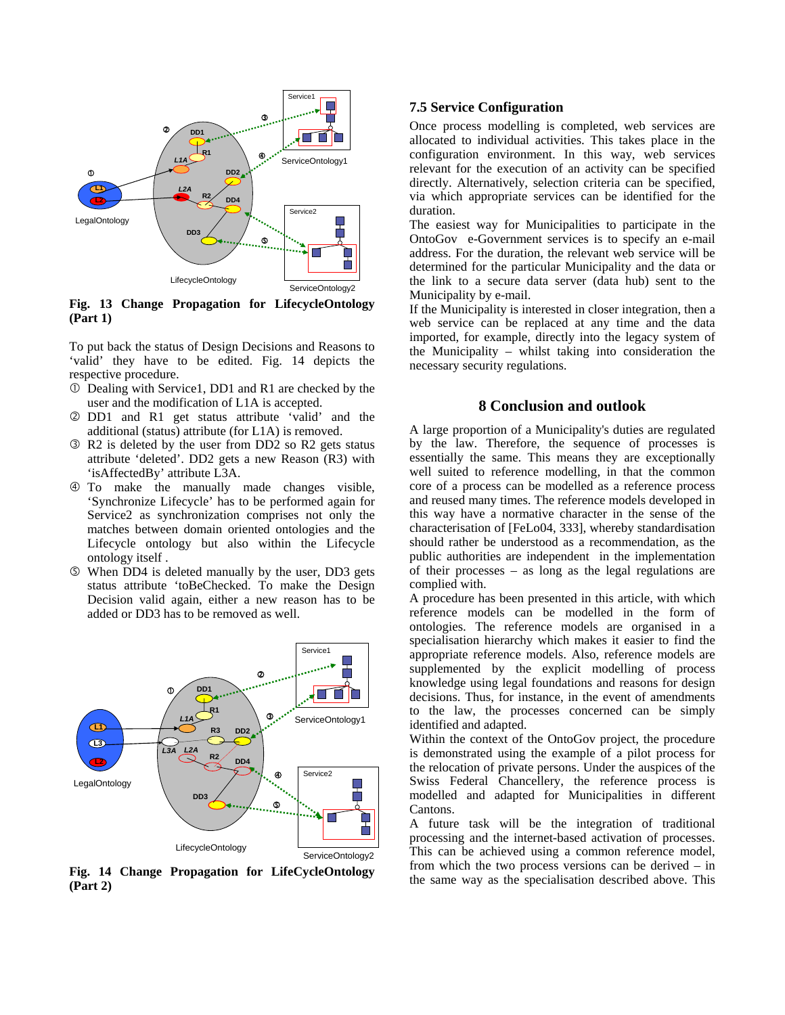![](_page_10_Figure_0.jpeg)

**Fig. 13 Change Propagation for LifecycleOntology (Part 1)** 

To put back the status of Design Decisions and Reasons to 'valid' they have to be edited. Fig. 14 depicts the respective procedure.

- c Dealing with Service1, DD1 and R1 are checked by the user and the modification of L1A is accepted.
- d DD1 and R1 get status attribute 'valid' and the additional (status) attribute (for L1A) is removed.
- e R2 is deleted by the user from DD2 so R2 gets status attribute 'deleted'. DD2 gets a new Reason (R3) with 'isAffectedBy' attribute L3A.
- f To make the manually made changes visible, 'Synchronize Lifecycle' has to be performed again for Service2 as synchronization comprises not only the matches between domain oriented ontologies and the Lifecycle ontology but also within the Lifecycle ontology itself .
- g When DD4 is deleted manually by the user, DD3 gets status attribute 'toBeChecked. To make the Design Decision valid again, either a new reason has to be added or DD3 has to be removed as well.

![](_page_10_Figure_8.jpeg)

**Fig. 14 Change Propagation for LifeCycleOntology (Part 2)** 

#### **7.5 Service Configuration**

Once process modelling is completed, web services are allocated to individual activities. This takes place in the configuration environment. In this way, web services relevant for the execution of an activity can be specified directly. Alternatively, selection criteria can be specified, via which appropriate services can be identified for the duration.

The easiest way for Municipalities to participate in the OntoGov e-Government services is to specify an e-mail address. For the duration, the relevant web service will be determined for the particular Municipality and the data or the link to a secure data server (data hub) sent to the Municipality by e-mail.

If the Municipality is interested in closer integration, then a web service can be replaced at any time and the data imported, for example, directly into the legacy system of the Municipality – whilst taking into consideration the necessary security regulations.

#### **8 Conclusion and outlook**

A large proportion of a Municipality's duties are regulated by the law. Therefore, the sequence of processes is essentially the same. This means they are exceptionally well suited to reference modelling, in that the common core of a process can be modelled as a reference process and reused many times. The reference models developed in this way have a normative character in the sense of the characterisation of [FeLo04, 333], whereby standardisation should rather be understood as a recommendation, as the public authorities are independent in the implementation of their processes – as long as the legal regulations are complied with.

A procedure has been presented in this article, with which reference models can be modelled in the form of ontologies. The reference models are organised in a specialisation hierarchy which makes it easier to find the appropriate reference models. Also, reference models are supplemented by the explicit modelling of process knowledge using legal foundations and reasons for design decisions. Thus, for instance, in the event of amendments to the law, the processes concerned can be simply identified and adapted.

Within the context of the OntoGov project, the procedure is demonstrated using the example of a pilot process for the relocation of private persons. Under the auspices of the Swiss Federal Chancellery, the reference process is modelled and adapted for Municipalities in different Cantons.

A future task will be the integration of traditional processing and the internet-based activation of processes. This can be achieved using a common reference model, from which the two process versions can be derived – in the same way as the specialisation described above. This